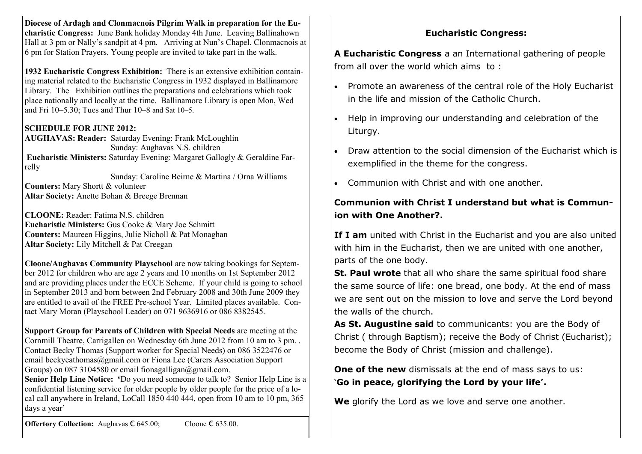**Diocese of Ardagh and Clonmacnois Pilgrim Walk in preparation for the Eucharistic Congress:** June Bank holiday Monday 4th June. Leaving Ballinahown Hall at 3 pm or Nally's sandpit at 4 pm. Arriving at Nun's Chapel, Clonmacnois at 6 pm for Station Prayers. Young people are invited to take part in the walk.

**1932 Eucharistic Congress Exhibition:** There is an extensive exhibition containing material related to the Eucharistic Congress in 1932 displayed in Ballinamore Library. The Exhibition outlines the preparations and celebrations which took place nationally and locally at the time. Ballinamore Library is open Mon, Wed and Fri 10–5.30; Tues and Thur 10–8 and Sat 10–5.

### **SCHEDULE FOR JUNE 2012:**

**AUGHAVAS: Reader:** Saturday Evening: Frank McLoughlin Sunday: Aughavas N.S. children **Eucharistic Ministers:** Saturday Evening: Margaret Gallogly & Geraldine Farrelly

 Sunday: Caroline Beirne & Martina / Orna Williams **Counters:** Mary Shortt & volunteer **Altar Society:** Anette Bohan & Breege Brennan

**CLOONE:** Reader: Fatima N.S. children **Eucharistic Ministers:** Gus Cooke & Mary Joe Schmitt **Counters:** Maureen Higgins, Julie Nicholl & Pat Monaghan **Altar Society:** Lily Mitchell & Pat Creegan

**Cloone/Aughavas Community Playschool** are now taking bookings for September 2012 for children who are age 2 years and 10 months on 1st September 2012 and are providing places under the ECCE Scheme. If your child is going to school in September 2013 and born between 2nd February 2008 and 30th June 2009 they are entitled to avail of the FREE Pre-school Year. Limited places available. Contact Mary Moran (Playschool Leader) on 071 9636916 or 086 8382545.

**Support Group for Parents of Children with Special Needs** are meeting at the Cornmill Theatre, Carrigallen on Wednesday 6th June 2012 from 10 am to 3 pm. . Contact Becky Thomas (Support worker for Special Needs) on 086 3522476 or email beckyeathomas@gmail.com or Fiona Lee (Carers Association Support Groups) on 087 3104580 or email fionagalligan@gmail.com.

**Senior Help Line Notice: '**Do you need someone to talk to? Senior Help Line is a confidential listening service for older people by older people for the price of a local call anywhere in Ireland, LoCall 1850 440 444, open from 10 am to 10 pm, 365 days a year'

**Eucharistic Congress:**

**A Eucharistic Congress** a an International gathering of people from all over the world which aims to :

- Promote an awareness of the central role of the Holy Eucharist in the life and mission of the Catholic Church.
- Help in improving our understanding and celebration of the Liturgy.
- Draw attention to the social dimension of the Eucharist which is exemplified in the theme for the congress.
- Communion with Christ and with one another.

# **Communion with Christ I understand but what is Communion with One Another?.**

If I am united with Christ in the Eucharist and you are also united with him in the Eucharist, then we are united with one another, parts of the one body.

**St. Paul wrote** that all who share the same spiritual food share the same source of life: one bread, one body. At the end of mass we are sent out on the mission to love and serve the Lord beyond the walls of the church.

**As St. Augustine said** to communicants: you are the Body of Christ ( through Baptism); receive the Body of Christ (Eucharist); become the Body of Christ (mission and challenge).

**One of the new** dismissals at the end of mass says to us: '**Go in peace, glorifying the Lord by your life'.**

**We** glorify the Lord as we love and serve one another.

**Offertory Collection:** Aughavas € 645.00; Cloone € 635.00.